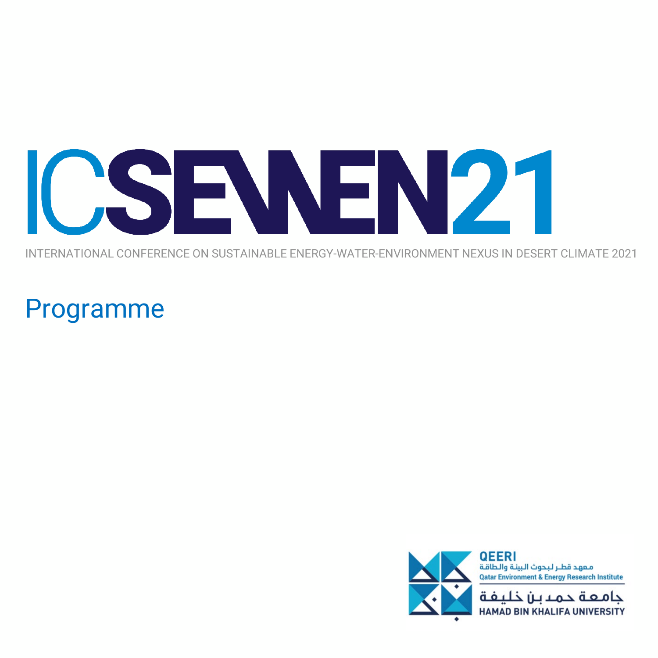

INTERNATIONAL CONFERENCE ON SUSTAINABLE ENERGY-WATER-ENVIRONMENT NEXUS IN DESERT CLIMATE 2021

## Programme

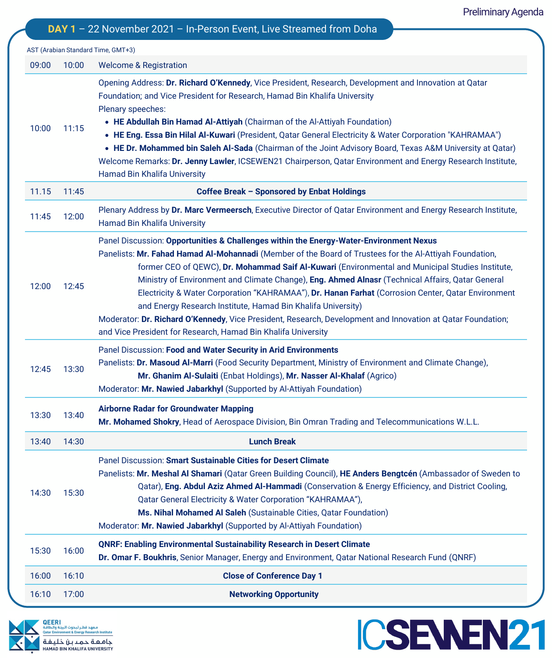**ICSENEN21** 

|       |       | AST (Arabian Standard Time, GMT+3)                                                                                                                                                                                                                                                                                                                                                                                                                                                                                                                                                                                                                                                                                                                              |
|-------|-------|-----------------------------------------------------------------------------------------------------------------------------------------------------------------------------------------------------------------------------------------------------------------------------------------------------------------------------------------------------------------------------------------------------------------------------------------------------------------------------------------------------------------------------------------------------------------------------------------------------------------------------------------------------------------------------------------------------------------------------------------------------------------|
| 09:00 | 10:00 | <b>Welcome &amp; Registration</b>                                                                                                                                                                                                                                                                                                                                                                                                                                                                                                                                                                                                                                                                                                                               |
| 10:00 | 11:15 | Opening Address: Dr. Richard O'Kennedy, Vice President, Research, Development and Innovation at Qatar<br>Foundation; and Vice President for Research, Hamad Bin Khalifa University<br>Plenary speeches:<br>• HE Abdullah Bin Hamad Al-Attiyah (Chairman of the Al-Attiyah Foundation)<br>• HE Eng. Essa Bin Hilal Al-Kuwari (President, Qatar General Electricity & Water Corporation "KAHRAMAA")<br>. HE Dr. Mohammed bin Saleh Al-Sada (Chairman of the Joint Advisory Board, Texas A&M University at Qatar)<br>Welcome Remarks: Dr. Jenny Lawler, ICSEWEN21 Chairperson, Qatar Environment and Energy Research Institute,<br>Hamad Bin Khalifa University                                                                                                    |
| 11.15 | 11:45 | Coffee Break - Sponsored by Enbat Holdings                                                                                                                                                                                                                                                                                                                                                                                                                                                                                                                                                                                                                                                                                                                      |
| 11:45 | 12:00 | Plenary Address by Dr. Marc Vermeersch, Executive Director of Qatar Environment and Energy Research Institute,<br><b>Hamad Bin Khalifa University</b>                                                                                                                                                                                                                                                                                                                                                                                                                                                                                                                                                                                                           |
| 12:00 | 12:45 | Panel Discussion: Opportunities & Challenges within the Energy-Water-Environment Nexus<br>Panelists: Mr. Fahad Hamad Al-Mohannadi (Member of the Board of Trustees for the Al-Attiyah Foundation,<br>former CEO of QEWC), Dr. Mohammad Saif Al-Kuwari (Environmental and Municipal Studies Institute,<br>Ministry of Environment and Climate Change), Eng. Ahmed Alnasr (Technical Affairs, Qatar General<br>Electricity & Water Corporation "KAHRAMAA"), Dr. Hanan Farhat (Corrosion Center, Qatar Environment<br>and Energy Research Institute, Hamad Bin Khalifa University)<br>Moderator: Dr. Richard O'Kennedy, Vice President, Research, Development and Innovation at Qatar Foundation;<br>and Vice President for Research, Hamad Bin Khalifa University |
| 12:45 | 13:30 | Panel Discussion: Food and Water Security in Arid Environments<br>Panelists: Dr. Masoud Al-Marri (Food Security Department, Ministry of Environment and Climate Change),<br>Mr. Ghanim Al-Sulaiti (Enbat Holdings), Mr. Nasser Al-Khalaf (Agrico)<br>Moderator: Mr. Nawied Jabarkhyl (Supported by Al-Attiyah Foundation)                                                                                                                                                                                                                                                                                                                                                                                                                                       |
| 13:30 | 13:40 | <b>Airborne Radar for Groundwater Mapping</b><br>Mr. Mohamed Shokry, Head of Aerospace Division, Bin Omran Trading and Telecommunications W.L.L.                                                                                                                                                                                                                                                                                                                                                                                                                                                                                                                                                                                                                |
| 13:40 | 14:30 | <b>Lunch Break</b>                                                                                                                                                                                                                                                                                                                                                                                                                                                                                                                                                                                                                                                                                                                                              |
| 14:30 | 15:30 | Panel Discussion: Smart Sustainable Cities for Desert Climate<br>Panelists: Mr. Meshal Al Shamari (Qatar Green Building Council), HE Anders Bengtcén (Ambassador of Sweden to<br>Qatar), Eng. Abdul Aziz Ahmed Al-Hammadi (Conservation & Energy Efficiency, and District Cooling,<br>Qatar General Electricity & Water Corporation "KAHRAMAA"),<br>Ms. Nihal Mohamed Al Saleh (Sustainable Cities, Qatar Foundation)<br>Moderator: Mr. Nawied Jabarkhyl (Supported by Al-Attiyah Foundation)                                                                                                                                                                                                                                                                   |
| 15:30 | 16:00 | <b>QNRF: Enabling Environmental Sustainability Research in Desert Climate</b><br>Dr. Omar F. Boukhris, Senior Manager, Energy and Environment, Qatar National Research Fund (QNRF)                                                                                                                                                                                                                                                                                                                                                                                                                                                                                                                                                                              |
| 16:00 | 16:10 | <b>Close of Conference Day 1</b>                                                                                                                                                                                                                                                                                                                                                                                                                                                                                                                                                                                                                                                                                                                                |
| 16:10 | 17:00 | <b>Networking Opportunity</b>                                                                                                                                                                                                                                                                                                                                                                                                                                                                                                                                                                                                                                                                                                                                   |

**DAY 1** – 22 November 2021 – In-Person Event, Live Streamed from Doha

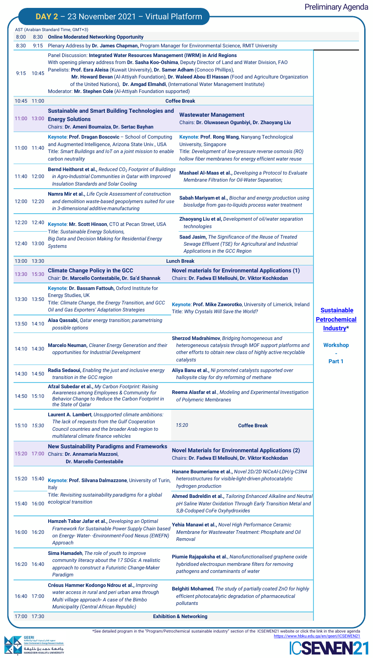## Preliminary Agenda

|              |       |                                                                                                                                                                                                                                                                                               | DAY $2 - 23$ November 2021 - Virtual Platform                                                                                                                                                     |  |                                                                                                                                                                                                |                                                         |  |  |
|--------------|-------|-----------------------------------------------------------------------------------------------------------------------------------------------------------------------------------------------------------------------------------------------------------------------------------------------|---------------------------------------------------------------------------------------------------------------------------------------------------------------------------------------------------|--|------------------------------------------------------------------------------------------------------------------------------------------------------------------------------------------------|---------------------------------------------------------|--|--|
|              |       |                                                                                                                                                                                                                                                                                               | AST (Arabian Standard Time, GMT+3)                                                                                                                                                                |  |                                                                                                                                                                                                |                                                         |  |  |
| 8:00<br>8:30 | 9:15  |                                                                                                                                                                                                                                                                                               | 8:30 Online Moderated Networking Opportunity                                                                                                                                                      |  |                                                                                                                                                                                                |                                                         |  |  |
|              |       | Plenary Address by Dr. James Chapman, Program Manager for Environmental Science, RMIT University<br>Panel Discussion: Integrated Water Resources Management (IWRM) in Arid Regions<br>With opening plenary address from Dr. Sasha Koo-Oshima, Deputy Director of Land and Water Division, FAO |                                                                                                                                                                                                   |  |                                                                                                                                                                                                |                                                         |  |  |
| 9:15         | 10:45 | Panelists: Prof. Esra Aleisa (Kuwait University), Dr. Samer Adham (Conoco Phillips),<br>Moderator: Mr. Stephen Cole (Al-Attiyah Foundation supported)                                                                                                                                         |                                                                                                                                                                                                   |  |                                                                                                                                                                                                |                                                         |  |  |
| 10:45 11:00  |       |                                                                                                                                                                                                                                                                                               |                                                                                                                                                                                                   |  | <b>Coffee Break</b>                                                                                                                                                                            |                                                         |  |  |
|              |       |                                                                                                                                                                                                                                                                                               | <b>Sustainable and Smart Building Technologies and</b><br>11:00 13:00 Energy Solutions<br>Chairs: Dr. Ameni Boumaiza, Dr. Sertac Bayhan                                                           |  | <b>Wastewater Management</b><br>Chairs: Dr. Oluwaseun Ogunbiyi, Dr. Zhaoyang Liu                                                                                                               |                                                         |  |  |
| 11:00 11:40  |       |                                                                                                                                                                                                                                                                                               | Keynote: Prof. Dragan Boscovic - School of Computing<br>and Augmented Intelligence, Arizona State Univ., USA<br>Title: Smart Buildings and IoT on a joint mission to enable<br>carbon neutrality  |  | Keynote: Prof. Rong Wang, Nanyang Technological<br>University, Singapore<br>Title: Development of low-pressure reverse osmosis (RO)<br>hollow fiber membranes for energy efficient water reuse |                                                         |  |  |
| 11:40 12:00  |       |                                                                                                                                                                                                                                                                                               | <b>Bernd Heithorst et al., Reduced CO<sub>2</sub> Footprint of Buildings</b><br>in Agro-Industrial Communities in Qatar with Improved<br><b>Insulation Standards and Solar Cooling</b>            |  | Mashael Al-Maas et al., Developing a Protocol to Evaluate<br>Membrane Filtration for Oil-Water Separation;                                                                                     |                                                         |  |  |
| 12:00 12:20  |       |                                                                                                                                                                                                                                                                                               | Namra Mir et al., Life Cycle Assessment of construction<br>and demolition waste-based geopolymers suited for use<br>in 3-dimensional additive manufacturing                                       |  | Sabah Mariyam et al., Biochar and energy production using<br>biosludge from gas-to-liquids process water treatment                                                                             |                                                         |  |  |
| 12:20 12:40  |       |                                                                                                                                                                                                                                                                                               | Keynote: Mr. Scott Hinson, CTO at Pecan Street, USA<br>Title: Sustainable Energy Solutions,                                                                                                       |  | Zhaoyang Liu et al, Development of oil/water separation<br>technologies                                                                                                                        |                                                         |  |  |
| 12:40 13:00  |       | <b>Systems</b>                                                                                                                                                                                                                                                                                | <b>Big Data and Decision Making for Residential Energy</b>                                                                                                                                        |  | Saad Jasim, The Significance of the Reuse of Treated<br>Sewage Effluent (TSE) for Agricultural and Industrial<br>Applications in the GCC Region                                                |                                                         |  |  |
| 13:00 13:30  |       |                                                                                                                                                                                                                                                                                               |                                                                                                                                                                                                   |  | <b>Lunch Break</b>                                                                                                                                                                             |                                                         |  |  |
| 13:30 15:30  |       |                                                                                                                                                                                                                                                                                               | <b>Climate Change Policy in the GCC</b><br>Chair: Dr. Marcello Contestabile, Dr. Sa'd Shannak                                                                                                     |  | <b>Novel materials for Environmental Applications (1)</b><br>Chairs: Dr. Fadwa El Mellouhi, Dr. Viktor Kochkodan                                                                               |                                                         |  |  |
| 13:30 13:50  |       |                                                                                                                                                                                                                                                                                               | Keynote: Dr. Bassam Fattouh, Oxford Institute for<br>Energy Studies, UK<br>Title: Climate Change, the Energy Transition, and GCC<br>Oil and Gas Exporters' Adaptation Strategies                  |  | Keynote: Prof. Mike Zaworotko, University of Limerick, Ireland<br>Title: Why Crystals Will Save the World?                                                                                     | <b>Sustainable</b><br><b>Petrochemical</b><br>Industry* |  |  |
| 13:50 14:10  |       |                                                                                                                                                                                                                                                                                               | Alaa Qassabi, Qatar energy transition; parametrising<br>possible options                                                                                                                          |  |                                                                                                                                                                                                |                                                         |  |  |
| 14:10 14:30  |       |                                                                                                                                                                                                                                                                                               | Marcelo Neuman, Cleaner Energy Generation and their<br>opportunities for Industrial Development                                                                                                   |  | Sherzod Madrahimov, Bridging homogeneous and<br>heterogeneous catalysis through MOF support platforms and<br>other efforts to obtain new class of highly active recyclable<br>catalysts        | <b>Workshop</b><br>Part 1                               |  |  |
| 14:30 14:50  |       |                                                                                                                                                                                                                                                                                               | Radia Sedaoui, Enabling the just and inclusive energy<br>transition in the GCC region                                                                                                             |  | Aliya Banu et al., Ni promoted catalysts supported over<br>halloysite clay for dry reforming of methane                                                                                        |                                                         |  |  |
| 14:50 15:10  |       |                                                                                                                                                                                                                                                                                               | Afzal Subedar et al., My Carbon Footprint: Raising<br>Awareness among Employees & Community for<br>Behavior Change to Reduce the Carbon Footprint in<br>the State of Qatar                        |  | Reema Alasfar et al., Modeling and Experimental Investigation<br>of Polymeric Membranes                                                                                                        |                                                         |  |  |
| 15:10 15:30  |       |                                                                                                                                                                                                                                                                                               | Laurent A. Lambert, Unsupported climate ambitions:<br>The lack of requests from the Gulf Cooperation<br>Council countries and the broader Arab region to<br>multilateral climate finance vehicles |  | 15:20<br><b>Coffee Break</b>                                                                                                                                                                   |                                                         |  |  |
|              |       |                                                                                                                                                                                                                                                                                               | <b>New Sustainability Paradigms and Frameworks</b><br>15:20 17:00 Chairs: Dr. Annamaria Mazzoni,<br><b>Dr. Marcello Contestabile</b>                                                              |  | <b>Novel Materials for Environmental Applications (2)</b><br>Chairs: Dr. Fadwa El Mellouhi, Dr. Viktor Kochkodan                                                                               |                                                         |  |  |
| 15:20 15:40  |       | <b>Italy</b>                                                                                                                                                                                                                                                                                  | Keynote: Prof. Silvana Dalmazzone, University of Turin,                                                                                                                                           |  | Hanane Boumeriame et al., Novel 2D/2D NiCeAl-LDH/g-C3N4<br>heterostructures for visible-light-driven photocatalytic<br>hydrogen production                                                     |                                                         |  |  |
| 15:40 16:00  |       |                                                                                                                                                                                                                                                                                               | Title: Revisiting sustainability paradigms for a global<br>ecological transition                                                                                                                  |  | Ahmed Badreldin et al., Tailoring Enhanced Alkaline and Neutral<br>pH Saline Water Oxidation Through Early Transition Metal and<br>S,B-Codoped CoFe Oxyhydroxides                              |                                                         |  |  |
| 16:00 16:20  |       | Approach                                                                                                                                                                                                                                                                                      | Hamzeh Tabar Jafar et al., Developing an Optimal<br>Framework for Sustainable Power Supply Chain based<br>on Energy-Water--Environment-Food Nexus (EWEFN)                                         |  | Yehia Manawi et al., Novel High Performance Ceramic<br>Membrane for Wastewater Treatment: Phosphate and Oil<br>Removal                                                                         |                                                         |  |  |
| 16:20 16:40  |       | Paradigm                                                                                                                                                                                                                                                                                      | Sima Hamadeh, The role of youth to improve<br>community literacy about the 17 SDGs: A realistic<br>approach to construct a Futuristic Change-Maker                                                |  | Piumie Rajapaksha et al., Nanofunctionalised graphene oxide<br>hybridised electrospun membrane filters for removing<br>pathogens and contaminants of water                                     |                                                         |  |  |
| 16:40 17:00  |       |                                                                                                                                                                                                                                                                                               | Crésus Hammer Kodongo Ndrou et al., Improving<br>water access in rural and peri urban area through<br>Multi village approach- A case of the Bimbo<br>Municipality (Central African Republic)      |  | Belghiti Mohamed, The study of partially coated ZnO for highly<br>efficient photocatalytic degradation of pharmaceutical<br>pollutants                                                         |                                                         |  |  |
| 17:00 17:30  |       |                                                                                                                                                                                                                                                                                               |                                                                                                                                                                                                   |  | <b>Exhibition &amp; Networking</b>                                                                                                                                                             |                                                         |  |  |



See detailed program in the "Program/Petrochemical sustainable industry" section of the ICSEWEN21 website or click the link in the above agenda\*<br><u><https://www.hbku.edu.qa/en/qeeri/ICSEWEN21></u>

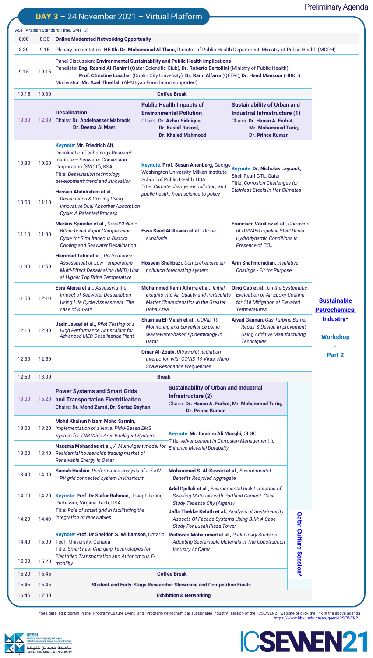## Preliminary Agenda

| 8:30           | <b>Online Moderated Networking Opportunity</b>                                                                                                                                                                                                                                                                                                                           |                                                                                                                                       |                                                                                                                                                                                                                                                                                                                                                                                                                                                                  |                                                                                                                                                                                                                                                                                                                                                                                                                                                                                                                                                                                                                                                                                                                                                                                                                                                                                                 |                                                                                                                                                                                                                                                                                                                                                                                                                                                                                                                                                           |                                                                                                                                                                                                                                                                                                                                                                                                                                                                                                                                                                                                                                         |  |  |
|----------------|--------------------------------------------------------------------------------------------------------------------------------------------------------------------------------------------------------------------------------------------------------------------------------------------------------------------------------------------------------------------------|---------------------------------------------------------------------------------------------------------------------------------------|------------------------------------------------------------------------------------------------------------------------------------------------------------------------------------------------------------------------------------------------------------------------------------------------------------------------------------------------------------------------------------------------------------------------------------------------------------------|-------------------------------------------------------------------------------------------------------------------------------------------------------------------------------------------------------------------------------------------------------------------------------------------------------------------------------------------------------------------------------------------------------------------------------------------------------------------------------------------------------------------------------------------------------------------------------------------------------------------------------------------------------------------------------------------------------------------------------------------------------------------------------------------------------------------------------------------------------------------------------------------------|-----------------------------------------------------------------------------------------------------------------------------------------------------------------------------------------------------------------------------------------------------------------------------------------------------------------------------------------------------------------------------------------------------------------------------------------------------------------------------------------------------------------------------------------------------------|-----------------------------------------------------------------------------------------------------------------------------------------------------------------------------------------------------------------------------------------------------------------------------------------------------------------------------------------------------------------------------------------------------------------------------------------------------------------------------------------------------------------------------------------------------------------------------------------------------------------------------------------|--|--|
| 9:15           | Plenary presentation: HE Sh. Dr. Mohammad AI Thani, Director of Public Health Department, Ministry of Public Health (MOPH)                                                                                                                                                                                                                                               |                                                                                                                                       |                                                                                                                                                                                                                                                                                                                                                                                                                                                                  |                                                                                                                                                                                                                                                                                                                                                                                                                                                                                                                                                                                                                                                                                                                                                                                                                                                                                                 |                                                                                                                                                                                                                                                                                                                                                                                                                                                                                                                                                           |                                                                                                                                                                                                                                                                                                                                                                                                                                                                                                                                                                                                                                         |  |  |
| 10:15          | Panel Discussion: Environmental Sustainability and Public Health Implications<br>Panelists: Eng. Rashid Al-Rahimi (Qatar Scientific Club), Dr. Roberto Bertollini (Ministry of Public Health),<br>Prof. Christine Loscher (Dublin City University), Dr. Rami Alfarra (QEERI), Dr. Hend Mansoor (HBKU)<br>Moderator: Mr. Axel Threlfall (Al-Attiyah Foundation supported) |                                                                                                                                       |                                                                                                                                                                                                                                                                                                                                                                                                                                                                  |                                                                                                                                                                                                                                                                                                                                                                                                                                                                                                                                                                                                                                                                                                                                                                                                                                                                                                 |                                                                                                                                                                                                                                                                                                                                                                                                                                                                                                                                                           |                                                                                                                                                                                                                                                                                                                                                                                                                                                                                                                                                                                                                                         |  |  |
| 10:30          |                                                                                                                                                                                                                                                                                                                                                                          |                                                                                                                                       |                                                                                                                                                                                                                                                                                                                                                                                                                                                                  |                                                                                                                                                                                                                                                                                                                                                                                                                                                                                                                                                                                                                                                                                                                                                                                                                                                                                                 |                                                                                                                                                                                                                                                                                                                                                                                                                                                                                                                                                           |                                                                                                                                                                                                                                                                                                                                                                                                                                                                                                                                                                                                                                         |  |  |
| 12:30          | <b>Desalination</b><br>Dr. Deema Al Masri                                                                                                                                                                                                                                                                                                                                |                                                                                                                                       |                                                                                                                                                                                                                                                                                                                                                                                                                                                                  |                                                                                                                                                                                                                                                                                                                                                                                                                                                                                                                                                                                                                                                                                                                                                                                                                                                                                                 |                                                                                                                                                                                                                                                                                                                                                                                                                                                                                                                                                           |                                                                                                                                                                                                                                                                                                                                                                                                                                                                                                                                                                                                                                         |  |  |
| 10:50          | Keynote: Mr. Friedrich Alt,<br><b>Desalination Technology Research</b><br>Institute - Seawater Conversion<br>Corporation (SWCC), KSA<br><b>Title: Desalination technology</b><br>development: trend and innovation                                                                                                                                                       |                                                                                                                                       |                                                                                                                                                                                                                                                                                                                                                                                                                                                                  | Shell Pearl GTL, Qatar                                                                                                                                                                                                                                                                                                                                                                                                                                                                                                                                                                                                                                                                                                                                                                                                                                                                          |                                                                                                                                                                                                                                                                                                                                                                                                                                                                                                                                                           |                                                                                                                                                                                                                                                                                                                                                                                                                                                                                                                                                                                                                                         |  |  |
| 11:10          | <b>Desalination &amp; Cooling Using</b><br><b>Cycle: A Patented Process</b>                                                                                                                                                                                                                                                                                              |                                                                                                                                       |                                                                                                                                                                                                                                                                                                                                                                                                                                                                  |                                                                                                                                                                                                                                                                                                                                                                                                                                                                                                                                                                                                                                                                                                                                                                                                                                                                                                 |                                                                                                                                                                                                                                                                                                                                                                                                                                                                                                                                                           |                                                                                                                                                                                                                                                                                                                                                                                                                                                                                                                                                                                                                                         |  |  |
| 11:30          | Markus Spinnler et al., DesalChiller -<br><b>Bifunctional Vapor Compression</b><br><b>Cycle for Simultaneous District</b><br><b>Cooling and Seawater Desalination</b>                                                                                                                                                                                                    |                                                                                                                                       | Presence of CO <sub>2</sub>                                                                                                                                                                                                                                                                                                                                                                                                                                      |                                                                                                                                                                                                                                                                                                                                                                                                                                                                                                                                                                                                                                                                                                                                                                                                                                                                                                 |                                                                                                                                                                                                                                                                                                                                                                                                                                                                                                                                                           |                                                                                                                                                                                                                                                                                                                                                                                                                                                                                                                                                                                                                                         |  |  |
| 11:50          | Hammad Tahir et al., Performance<br>Assessment of Low-Temperature<br>at Higher Top Brine Temperature                                                                                                                                                                                                                                                                     |                                                                                                                                       |                                                                                                                                                                                                                                                                                                                                                                                                                                                                  |                                                                                                                                                                                                                                                                                                                                                                                                                                                                                                                                                                                                                                                                                                                                                                                                                                                                                                 |                                                                                                                                                                                                                                                                                                                                                                                                                                                                                                                                                           |                                                                                                                                                                                                                                                                                                                                                                                                                                                                                                                                                                                                                                         |  |  |
| 12:10          | Esra Aleisa et al., Assessing the<br><b>Impact of Seawater Desalination</b><br>Using Life Cycle Assessment: The<br>case of Kuwait                                                                                                                                                                                                                                        |                                                                                                                                       | <b>Temperatures</b>                                                                                                                                                                                                                                                                                                                                                                                                                                              |                                                                                                                                                                                                                                                                                                                                                                                                                                                                                                                                                                                                                                                                                                                                                                                                                                                                                                 |                                                                                                                                                                                                                                                                                                                                                                                                                                                                                                                                                           | <b>Sustainable</b><br><b>Petrochemical</b>                                                                                                                                                                                                                                                                                                                                                                                                                                                                                                                                                                                              |  |  |
| 12:30          | Jasir Jawad et al., Pilot Testing of a<br><b>High Performance Antiscalant for</b><br><b>Advanced MED Desalination Plant</b>                                                                                                                                                                                                                                              | Qatar                                                                                                                                 |                                                                                                                                                                                                                                                                                                                                                                                                                                                                  | Aiyad Gannan, Gas Turbine Burner<br>Repair & Design Improvement<br><b>Using Additive Manufacturing</b><br><b>Techniques</b>                                                                                                                                                                                                                                                                                                                                                                                                                                                                                                                                                                                                                                                                                                                                                                     |                                                                                                                                                                                                                                                                                                                                                                                                                                                                                                                                                           | Industry*<br><b>Workshop</b>                                                                                                                                                                                                                                                                                                                                                                                                                                                                                                                                                                                                            |  |  |
| 12:50          |                                                                                                                                                                                                                                                                                                                                                                          |                                                                                                                                       |                                                                                                                                                                                                                                                                                                                                                                                                                                                                  | Part 2                                                                                                                                                                                                                                                                                                                                                                                                                                                                                                                                                                                                                                                                                                                                                                                                                                                                                          |                                                                                                                                                                                                                                                                                                                                                                                                                                                                                                                                                           |                                                                                                                                                                                                                                                                                                                                                                                                                                                                                                                                                                                                                                         |  |  |
| 13:00          |                                                                                                                                                                                                                                                                                                                                                                          |                                                                                                                                       |                                                                                                                                                                                                                                                                                                                                                                                                                                                                  |                                                                                                                                                                                                                                                                                                                                                                                                                                                                                                                                                                                                                                                                                                                                                                                                                                                                                                 |                                                                                                                                                                                                                                                                                                                                                                                                                                                                                                                                                           |                                                                                                                                                                                                                                                                                                                                                                                                                                                                                                                                                                                                                                         |  |  |
| 15:20          | <b>Power Systems and Smart Grids</b>                                                                                                                                                                                                                                                                                                                                     |                                                                                                                                       | Infrastructure (2)<br><b>Dr. Prince Kumar</b>                                                                                                                                                                                                                                                                                                                                                                                                                    |                                                                                                                                                                                                                                                                                                                                                                                                                                                                                                                                                                                                                                                                                                                                                                                                                                                                                                 |                                                                                                                                                                                                                                                                                                                                                                                                                                                                                                                                                           |                                                                                                                                                                                                                                                                                                                                                                                                                                                                                                                                                                                                                                         |  |  |
| 13:20          | Mohd Khairun Nizam Mohd Sarmin,                                                                                                                                                                                                                                                                                                                                          |                                                                                                                                       |                                                                                                                                                                                                                                                                                                                                                                                                                                                                  |                                                                                                                                                                                                                                                                                                                                                                                                                                                                                                                                                                                                                                                                                                                                                                                                                                                                                                 |                                                                                                                                                                                                                                                                                                                                                                                                                                                                                                                                                           |                                                                                                                                                                                                                                                                                                                                                                                                                                                                                                                                                                                                                                         |  |  |
| 13:40          | Renewable Energy in Qatar                                                                                                                                                                                                                                                                                                                                                |                                                                                                                                       | <b>Enhance Material Durability</b>                                                                                                                                                                                                                                                                                                                                                                                                                               |                                                                                                                                                                                                                                                                                                                                                                                                                                                                                                                                                                                                                                                                                                                                                                                                                                                                                                 |                                                                                                                                                                                                                                                                                                                                                                                                                                                                                                                                                           |                                                                                                                                                                                                                                                                                                                                                                                                                                                                                                                                                                                                                                         |  |  |
| 14:00          | Samah Hashim, Performance analysis of a 5 kW<br>PV grid connected system in Khartoum                                                                                                                                                                                                                                                                                     |                                                                                                                                       |                                                                                                                                                                                                                                                                                                                                                                                                                                                                  |                                                                                                                                                                                                                                                                                                                                                                                                                                                                                                                                                                                                                                                                                                                                                                                                                                                                                                 |                                                                                                                                                                                                                                                                                                                                                                                                                                                                                                                                                           |                                                                                                                                                                                                                                                                                                                                                                                                                                                                                                                                                                                                                                         |  |  |
| 14:20          | Keynote: Prof. Dr Saifur Rahman, Joseph Loring<br>Professor, Virginia Tech, USA                                                                                                                                                                                                                                                                                          |                                                                                                                                       |                                                                                                                                                                                                                                                                                                                                                                                                                                                                  |                                                                                                                                                                                                                                                                                                                                                                                                                                                                                                                                                                                                                                                                                                                                                                                                                                                                                                 |                                                                                                                                                                                                                                                                                                                                                                                                                                                                                                                                                           |                                                                                                                                                                                                                                                                                                                                                                                                                                                                                                                                                                                                                                         |  |  |
| 14:40          | integration of renewables                                                                                                                                                                                                                                                                                                                                                |                                                                                                                                       | Jafla Thekke Keloth et al., Analysis of Sustainability<br>Aspects Of Facade Systems Using BIM: A Case                                                                                                                                                                                                                                                                                                                                                            |                                                                                                                                                                                                                                                                                                                                                                                                                                                                                                                                                                                                                                                                                                                                                                                                                                                                                                 |                                                                                                                                                                                                                                                                                                                                                                                                                                                                                                                                                           |                                                                                                                                                                                                                                                                                                                                                                                                                                                                                                                                                                                                                                         |  |  |
|                | Electrified Transportation and Autonomous E-                                                                                                                                                                                                                                                                                                                             |                                                                                                                                       | Redhwan Mohammed et al., Preliminary Study on<br>Adopting Sustainable Materials in The Construction<br><b>Industry At Qatar</b>                                                                                                                                                                                                                                                                                                                                  |                                                                                                                                                                                                                                                                                                                                                                                                                                                                                                                                                                                                                                                                                                                                                                                                                                                                                                 |                                                                                                                                                                                                                                                                                                                                                                                                                                                                                                                                                           |                                                                                                                                                                                                                                                                                                                                                                                                                                                                                                                                                                                                                                         |  |  |
|                |                                                                                                                                                                                                                                                                                                                                                                          |                                                                                                                                       |                                                                                                                                                                                                                                                                                                                                                                                                                                                                  |                                                                                                                                                                                                                                                                                                                                                                                                                                                                                                                                                                                                                                                                                                                                                                                                                                                                                                 |                                                                                                                                                                                                                                                                                                                                                                                                                                                                                                                                                           |                                                                                                                                                                                                                                                                                                                                                                                                                                                                                                                                                                                                                                         |  |  |
| 15:20          | mobility                                                                                                                                                                                                                                                                                                                                                                 |                                                                                                                                       |                                                                                                                                                                                                                                                                                                                                                                                                                                                                  |                                                                                                                                                                                                                                                                                                                                                                                                                                                                                                                                                                                                                                                                                                                                                                                                                                                                                                 |                                                                                                                                                                                                                                                                                                                                                                                                                                                                                                                                                           |                                                                                                                                                                                                                                                                                                                                                                                                                                                                                                                                                                                                                                         |  |  |
| 15:45<br>16:45 |                                                                                                                                                                                                                                                                                                                                                                          |                                                                                                                                       | <b>Coffee Break</b><br><b>Student and Early-Stage Researcher Showcase and Competition Finals</b>                                                                                                                                                                                                                                                                                                                                                                 |                                                                                                                                                                                                                                                                                                                                                                                                                                                                                                                                                                                                                                                                                                                                                                                                                                                                                                 |                                                                                                                                                                                                                                                                                                                                                                                                                                                                                                                                                           |                                                                                                                                                                                                                                                                                                                                                                                                                                                                                                                                                                                                                                         |  |  |
|                |                                                                                                                                                                                                                                                                                                                                                                          | AST (Arabian Standard Time, GMT+3)<br>Chairs: Dr. Abdelnasser Mabrook,<br>Hassan Abdulrahim et al.,<br>15:00 Tech. University, Canada | Innovative Dual Absorber Absorption<br><b>Multi-Effect Desalination (MED) Unit</b><br>and Transportation Electrification<br>Chairs: Dr. Mohd Zamri, Dr. Sertac Bayhan<br>Implementation of a Novel PMU-Based EMS<br>System for TNB Wide-Area Intelligent System;<br>Residential households trading market of<br>Title: Role of smart grid in facilitating the<br>Keynote: Prof. Dr Sheldon S. Williamson, Ontario<br>Title: Smart Fast Charging Technologies for | DAY $3 - 24$ November 2021 - Virtual Platform<br><b>Coffee Break</b><br><b>Public Health Impacts of</b><br><b>Environmental Pollution</b><br>Chairs: Dr. Azhar Siddique,<br>Dr. Kashif Rasool,<br><b>Dr. Khaled Mahmood</b><br>Washington University Milken Institute<br>School of Public Health, USA<br>Title: Climate change, air pollution, and<br>public health: from science to policy<br>Essa Saad Al-Kuwari et al., Drone<br>sunshade<br>Hossein Shahbazi, Comprehensive air<br>pollution forecasting system<br>Mohammed Rami Alfarra et al., Initial<br><b>Matter Characteristics in the Greater</b><br>Doha Area<br>Shaimaa El-Malah et al., COVID-19<br>Monitoring and Surveillance using<br>Wastewater-based Epidemiology in<br><b>Omar Al-Zoubi, Ultraviolet Radiation</b><br><b>Scale Resonance Frequencies</b><br><b>Break</b><br>Nassma Mohandes et al., A Multi-Agent model for | insights into Air Quality and Particulate<br>Interaction with COVID-19 Virus: Nano-<br><b>Sustainability of Urban and Industrial</b><br>Chairs: Dr. Hanan A. Farhat, Mr. Mohammad Tariq,<br>Keynote: Mr. Ibrahim Ali Muzghi, QLGC<br>Title: Advancement in Corrosion Management to<br>Mohammed S. Al-Kuwari et al., Environmental<br><b>Benefits Recycled Aggregate</b><br>Adel Djellali et al., Environmental Risk Limitation of<br><b>Swelling Materials with Portland Cement: Case</b><br>Study Tebessa City (Algeria)<br>Study For Lusail Plaza Tower | <b>Sustainability of Urban and</b><br>Industrial Infrastructure (1)<br>Chairs: Dr. Hanan A. Farhat,<br>Mr. Mohammad Tariq,<br><b>Dr. Prince Kumar</b><br>Keynote: Prof. Susan Anenberg, George<br>Keynote: Dr. Nicholas Laycock,<br>Title: Corrosion Challenges for<br><b>Stainless Steels in Hot Climates</b><br>Francisco Vouilloz et al., Corrosion<br>of DNV450 Pipeline Steel Under<br><b>Hydrodynamic Conditions in</b><br>Arin Shahmoradian, Insulative<br>Coatings - Fit for Purpose<br>Qing Cao et al., On the Systematic<br><b>Evaluation of An Epoxy Coating</b><br>for CUI Mitigation at Elevated<br>Qatar Culture Session* |  |  |

\*See detailed program in the "Program/Culture Event" and "Program/Petrochemical sustainable industry" section of the ICSEWEN21 website or click the link in the above agenda <https://www.hbku.edu.qa/en/qeeri/ICSEWEN21>